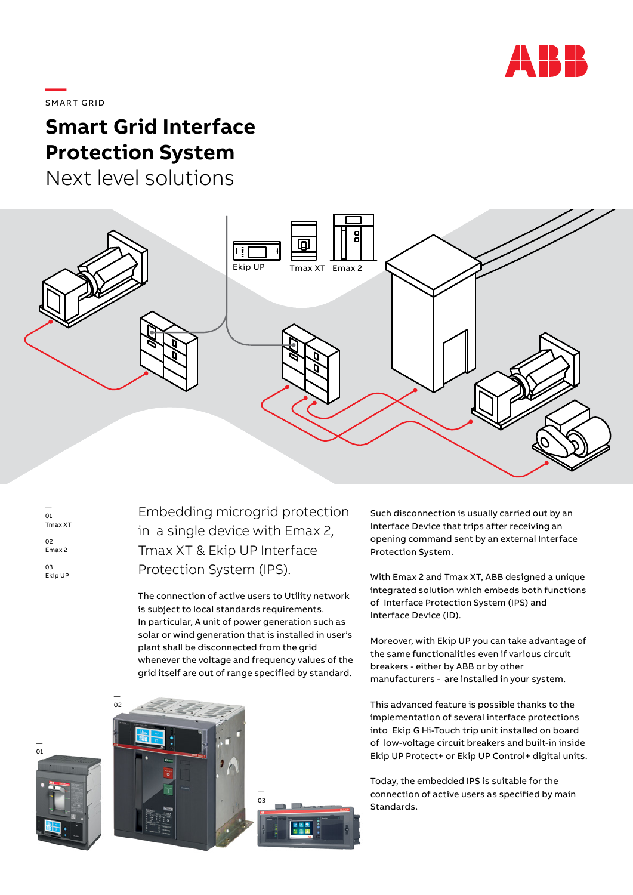

**—**  SMART GRID

# **Smart Grid Interface Protection System**

Next level solutions



| 01<br>Tmax XT           |
|-------------------------|
| 02<br>Fmax <sub>2</sub> |
| 13                      |

Ekip UP

— 01

Embedding microgrid protection in a single device with Emax 2, Tmax XT & Ekip UP Interface Protection System (IPS).

The connection of active users to Utility network is subject to local standards requirements. In particular, A unit of power generation such as solar or wind generation that is installed in user's plant shall be disconnected from the grid whenever the voltage and frequency values of the grid itself are out of range specified by standard.





Such disconnection is usually carried out by an Interface Device that trips after receiving an opening command sent by an external Interface Protection System.

With Emax 2 and Tmax XT, ABB designed a unique integrated solution which embeds both functions of Interface Protection System (IPS) and Interface Device (ID).

Moreover, with Ekip UP you can take advantage of the same functionalities even if various circuit breakers - either by ABB or by other manufacturers - are installed in your system.

This advanced feature is possible thanks to the implementation of several interface protections into Ekip G Hi-Touch trip unit installed on board of low-voltage circuit breakers and built-in inside Ekip UP Protect+ or Ekip UP Control+ digital units.

Today, the embedded IPS is suitable for the connection of active users as specified by main Standards.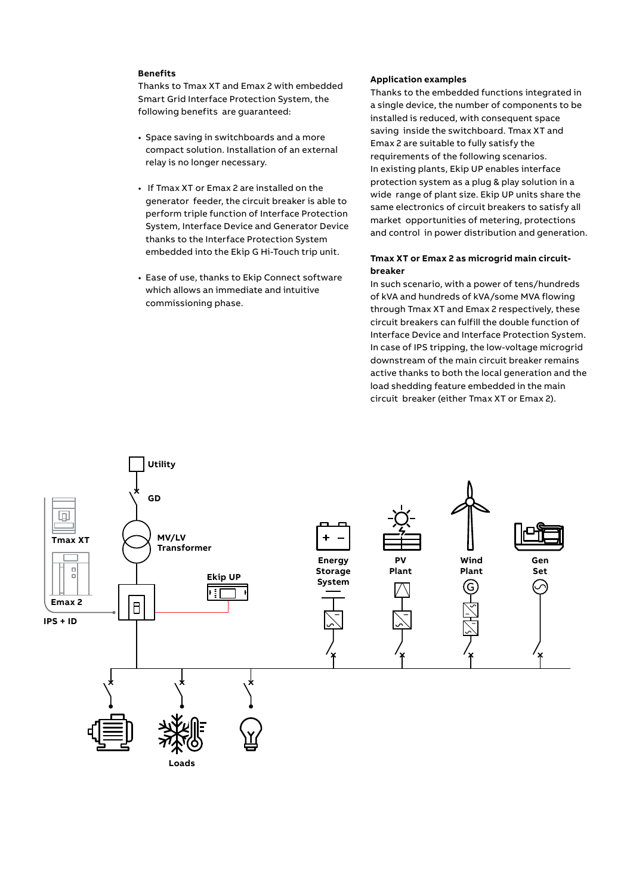#### **Benefits**

Thanks to Tmax XT and Emax 2 with embedded Smart Grid Interface Protection System, the following benefits are guaranteed:

- Space saving in switchboards and a more compact solution. Installation of an external relay is no longer necessary.
- If Tmax XT or Emax 2 are installed on the generator feeder, the circuit breaker is able to perform triple function of Interface Protection System, Interface Device and Generator Device thanks to the Interface Protection System embedded into the Ekip G Hi-Touch trip unit.
- Ease of use, thanks to Ekip Connect software which allows an immediate and intuitive commissioning phase.

#### **Application examples**

Thanks to the embedded functions integrated in a single device, the number of components to be installed is reduced, with consequent space saving inside the switchboard. Tmax XT and Emax 2 are suitable to fully satisfy the requirements of the following scenarios. In existing plants, Ekip UP enables interface protection system as a plug & play solution in a wide range of plant size. Ekip UP units share the same electronics of circuit breakers to satisfy all market opportunities of metering, protections and control in power distribution and generation.

## **Tmax XT or Emax 2 as microgrid main circuitbreaker**

In such scenario, with a power of tens/hundreds of kVA and hundreds of kVA/some MVA flowing through Tmax XT and Emax 2 respectively, these circuit breakers can fulfill the double function of Interface Device and Interface Protection System. In case of IPS tripping, the low-voltage microgrid downstream of the main circuit breaker remains active thanks to both the local generation and the load shedding feature embedded in the main circuit breaker (either Tmax XT or Emax 2).

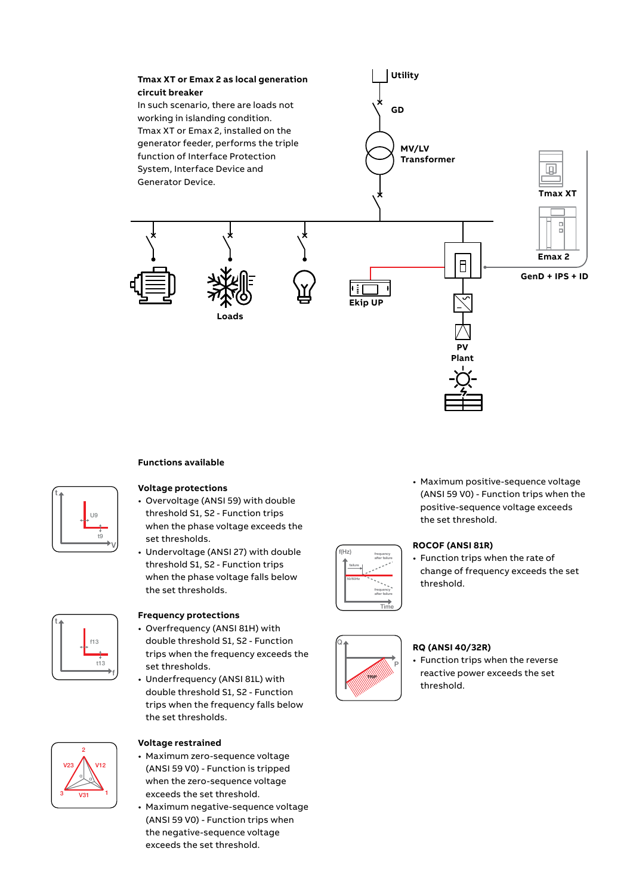

## **Functions available**



#### **Voltage protections**

- Overvoltage (ANSI 59) with double threshold S1, S2 - Function trips when the phase voltage exceeds the set thresholds.
- Undervoltage (ANSI 27) with double threshold S1, S2 - Function trips when the phase voltage falls below the set thresholds.



#### **Frequency protections**

- Overfrequency (ANSI 81H) with double threshold S1, S2 - Function trips when the frequency exceeds the set thresholds.
- Underfrequency (ANSI 81L) with double threshold S1, S2 - Function trips when the frequency falls below the set thresholds.



#### **Voltage restrained**

- Maximum zero-sequence voltage (ANSI 59 V0) - Function is tripped when the zero-sequence voltage exceeds the set threshold.
- Maximum negative-sequence voltage (ANSI 59 V0) - Function trips when the negative-sequence voltage exceeds the set threshold.

• Maximum positive-sequence voltage (ANSI 59 V0) - Function trips when the positive-sequence voltage exceeds the set threshold.

# **ROCOF (ANSI 81R)**

• Function trips when the rate of change of frequency exceeds the set threshold.



Time

 $\overline{\ }$ 

U14

frequency after failure

frequency after failure

 $f(Hz)$   $f_{\text{reducerov}}$ 

unduring<br>
under failur

 $\Box$ 

3 1

 $\overline{\phantom{a}}$ <sup>α</sup> <sup>α</sup>

50/60Hz failure

#### **RQ (ANSI 40/32R)**

• Function trips when the reverse reactive power exceeds the set threshold.